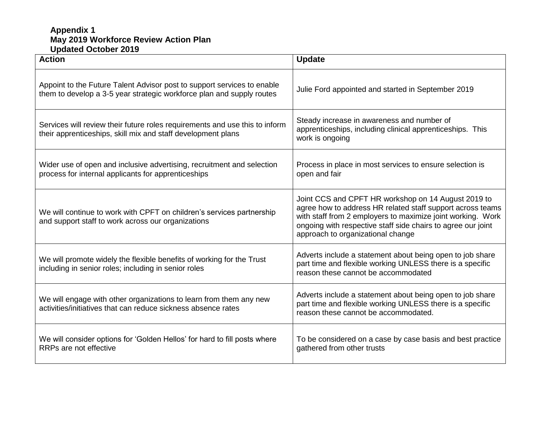## **Appendix 1 May 2019 Workforce Review Action Plan Updated October 2019**

| <b>Action</b>                                                                                                                                    | <b>Update</b>                                                                                                                                                                                                                                                                         |
|--------------------------------------------------------------------------------------------------------------------------------------------------|---------------------------------------------------------------------------------------------------------------------------------------------------------------------------------------------------------------------------------------------------------------------------------------|
| Appoint to the Future Talent Advisor post to support services to enable<br>them to develop a 3-5 year strategic workforce plan and supply routes | Julie Ford appointed and started in September 2019                                                                                                                                                                                                                                    |
| Services will review their future roles requirements and use this to inform<br>their apprenticeships, skill mix and staff development plans      | Steady increase in awareness and number of<br>apprenticeships, including clinical apprenticeships. This<br>work is ongoing                                                                                                                                                            |
| Wider use of open and inclusive advertising, recruitment and selection<br>process for internal applicants for apprenticeships                    | Process in place in most services to ensure selection is<br>open and fair                                                                                                                                                                                                             |
| We will continue to work with CPFT on children's services partnership<br>and support staff to work across our organizations                      | Joint CCS and CPFT HR workshop on 14 August 2019 to<br>agree how to address HR related staff support across teams<br>with staff from 2 employers to maximize joint working. Work<br>ongoing with respective staff side chairs to agree our joint<br>approach to organizational change |
| We will promote widely the flexible benefits of working for the Trust<br>including in senior roles; including in senior roles                    | Adverts include a statement about being open to job share<br>part time and flexible working UNLESS there is a specific<br>reason these cannot be accommodated                                                                                                                         |
| We will engage with other organizations to learn from them any new<br>activities/initiatives that can reduce sickness absence rates              | Adverts include a statement about being open to job share<br>part time and flexible working UNLESS there is a specific<br>reason these cannot be accommodated.                                                                                                                        |
| We will consider options for 'Golden Hellos' for hard to fill posts where<br>RRPs are not effective                                              | To be considered on a case by case basis and best practice<br>gathered from other trusts                                                                                                                                                                                              |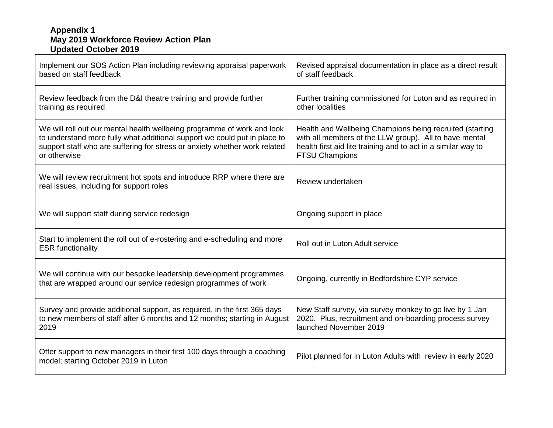## **Appendix 1 May 2019 Workforce Review Action Plan Updated October 2019**

| Implement our SOS Action Plan including reviewing appraisal paperwork<br>based on staff feedback                                                                                                                                                   | Revised appraisal documentation in place as a direct result<br>of staff feedback                                                                                                                             |
|----------------------------------------------------------------------------------------------------------------------------------------------------------------------------------------------------------------------------------------------------|--------------------------------------------------------------------------------------------------------------------------------------------------------------------------------------------------------------|
| Review feedback from the D&I theatre training and provide further<br>training as required                                                                                                                                                          | Further training commissioned for Luton and as required in<br>other localities                                                                                                                               |
| We will roll out our mental health wellbeing programme of work and look<br>to understand more fully what additional support we could put in place to<br>support staff who are suffering for stress or anxiety whether work related<br>or otherwise | Health and Wellbeing Champions being recruited (starting<br>with all members of the LLW group). All to have mental<br>health first aid lite training and to act in a similar way to<br><b>FTSU Champions</b> |
| We will review recruitment hot spots and introduce RRP where there are<br>real issues, including for support roles                                                                                                                                 | Review undertaken                                                                                                                                                                                            |
| We will support staff during service redesign                                                                                                                                                                                                      | Ongoing support in place                                                                                                                                                                                     |
| Start to implement the roll out of e-rostering and e-scheduling and more<br><b>ESR</b> functionality                                                                                                                                               | Roll out in Luton Adult service                                                                                                                                                                              |
| We will continue with our bespoke leadership development programmes<br>that are wrapped around our service redesign programmes of work                                                                                                             | Ongoing, currently in Bedfordshire CYP service                                                                                                                                                               |
| Survey and provide additional support, as required, in the first 365 days<br>to new members of staff after 6 months and 12 months; starting in August<br>2019                                                                                      | New Staff survey, via survey monkey to go live by 1 Jan<br>2020. Plus, recruitment and on-boarding process survey<br>launched November 2019                                                                  |
| Offer support to new managers in their first 100 days through a coaching<br>model; starting October 2019 in Luton                                                                                                                                  | Pilot planned for in Luton Adults with review in early 2020                                                                                                                                                  |